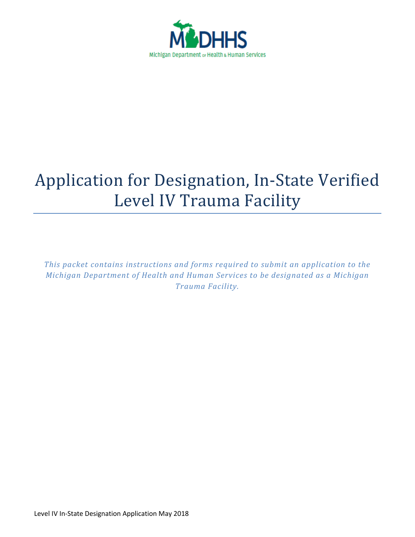

# Application for Designation, In-State Verified Level IV Trauma Facility

*This packet contains instructions and forms required to submit an application to the Michigan Department of Health and Human Services to be designated as a Michigan Trauma Facility.*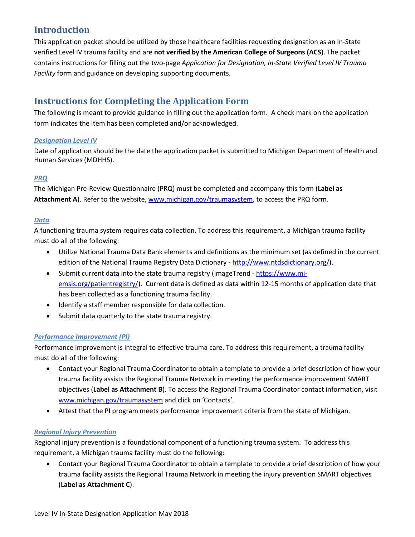## **Introduction**

This application packet should be utilized by those healthcare facilities requesting designation as an In-State verified Level IV trauma facility and are **not verified by the American College of Surgeons (ACS)**. The packet contains instructions for filling out the two-page *Application for Designation, In-State Verified Level IV Trauma Facility* form and guidance on developing supporting documents.

# **Instructions for Completing the Application Form**

The following is meant to provide guidance in filling out the application form. A check mark on the application form indicates the item has been completed and/or acknowledged.

## *Designation Level IV*

Date of application should be the date the application packet is submitted to Michigan Department of Health and Human Services (MDHHS).

#### *PRQ*

The Michigan Pre-Review Questionnaire (PRQ) must be completed and accompany this form (**Label as Attachment A**). Refer to the website, www.michigan.gov/traumasystem, to access the PRQ form.

#### *Data*

A functioning trauma system requires data collection. To address this requirement, a Michigan trauma facility must do all of the following:

- Utilize National Trauma Data Bank elements and definitions as the minimum set (as defined in the current edition of the National Trauma Registry Data Dictionary - http://www.ntdsdictionary.org/).
- Submit current data into the state trauma registry (ImageTrend https://www.miemsis.org/patientregistry/). Current data is defined as data within 12-15 months of application date that has been collected as a functioning trauma facility.
- Identify a staff member responsible for data collection.
- Submit data quarterly to the state trauma registry.

## *Performance Improvement (PI)*

Performance improvement is integral to effective trauma care. To address this requirement, a trauma facility must do all of the following:

- Contact your Regional Trauma Coordinator to obtain a template to provide a brief description of how your trauma facility assists the Regional Trauma Network in meeting the performance improvement SMART objectives (**Label as Attachment B**). To access the Regional Trauma Coordinator contact information, visit www.michigan.gov/traumasystem and click on 'Contacts'.
- Attest that the PI program meets performance improvement criteria from the state of Michigan.

## *Regional Injury Prevention*

Regional injury prevention is a foundational component of a functioning trauma system. To address this requirement, a Michigan trauma facility must do the following:

• Contact your Regional Trauma Coordinator to obtain a template to provide a brief description of how your trauma facility assists the Regional Trauma Network in meeting the injury prevention SMART objectives (**Label as Attachment C**).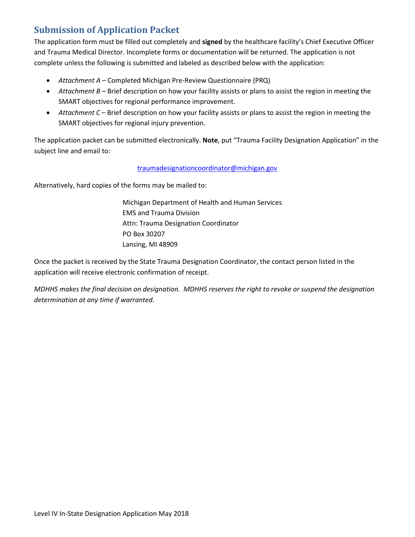# **Submission of Application Packet**

The application form must be filled out completely and **signed** by the healthcare facility's Chief Executive Officer and Trauma Medical Director. Incomplete forms or documentation will be returned. The application is not complete unless the following is submitted and labeled as described below with the application:

- *Attachment A* Completed Michigan Pre-Review Questionnaire (PRQ)
- *Attachment B* Brief description on how your facility assists or plans to assist the region in meeting the SMART objectives for regional performance improvement.
- *Attachment C* Brief description on how your facility assists or plans to assist the region in meeting the SMART objectives for regional injury prevention.

The application packet can be submitted electronically. **Note**, put "Trauma Facility Designation Application" in the subject line and email to:

#### traumadesignationcoordinator@michigan.gov

Alternatively, hard copies of the forms may be mailed to:

Michigan Department of Health and Human Services EMS and Trauma Division Attn: Trauma Designation Coordinator PO Box 30207 Lansing, MI 48909

Once the packet is received by the State Trauma Designation Coordinator, the contact person listed in the application will receive electronic confirmation of receipt.

*MDHHS makes the final decision on designation. MDHHS reserves the right to revoke or suspend the designation determination at any time if warranted.*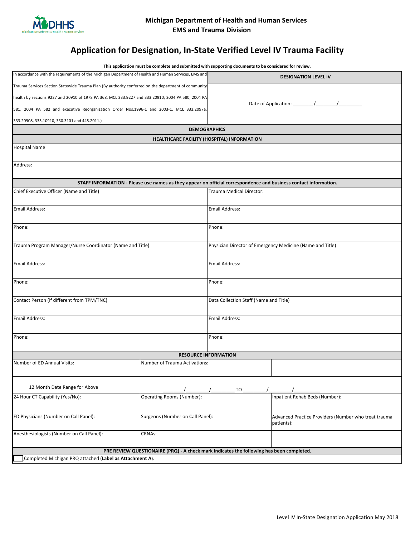

# **Application for Designation, In-State Verified Level IV Trauma Facility**

|                                                                                                      | This application must be complete and submitted with supporting documents to be considered for review.           |                                                           |                                                                    |
|------------------------------------------------------------------------------------------------------|------------------------------------------------------------------------------------------------------------------|-----------------------------------------------------------|--------------------------------------------------------------------|
| In accordance with the requirements of the Michigan Department of Health and Human Services, EMS and |                                                                                                                  | <b>DESIGNATION LEVEL IV</b>                               |                                                                    |
| Trauma Services Section Statewide Trauma Plan (By authority conferred on the department of community |                                                                                                                  |                                                           |                                                                    |
| health by sections 9227 and 20910 of 1978 PA 368, MCL 333.9227 and 333.20910; 2004 PA 580, 2004 PA   |                                                                                                                  |                                                           |                                                                    |
| 581, 2004 PA 582 and executive Reorganization Order Nos.1996-1 and 2003-1, MCL 333.2097a,            |                                                                                                                  | Date of Application: / / /                                |                                                                    |
| 333.20908, 333.10910, 330.3101 and 445.2011.)                                                        |                                                                                                                  |                                                           |                                                                    |
|                                                                                                      |                                                                                                                  | <b>DEMOGRAPHICS</b>                                       |                                                                    |
|                                                                                                      |                                                                                                                  | <b>HEALTHCARE FACILITY (HOSPITAL) INFORMATION</b>         |                                                                    |
| <b>Hospital Name</b>                                                                                 |                                                                                                                  |                                                           |                                                                    |
| Address:                                                                                             |                                                                                                                  |                                                           |                                                                    |
|                                                                                                      | STAFF INFORMATION - Please use names as they appear on official correspondence and business contact information. |                                                           |                                                                    |
| Chief Executive Officer (Name and Title)                                                             |                                                                                                                  | Trauma Medical Director:                                  |                                                                    |
| Email Address:                                                                                       |                                                                                                                  | <b>Email Address:</b>                                     |                                                                    |
| Phone:                                                                                               |                                                                                                                  | Phone:                                                    |                                                                    |
| Trauma Program Manager/Nurse Coordinator (Name and Title)                                            |                                                                                                                  | Physician Director of Emergency Medicine (Name and Title) |                                                                    |
| <b>Email Address:</b>                                                                                |                                                                                                                  | <b>Email Address:</b>                                     |                                                                    |
| Phone:                                                                                               |                                                                                                                  | Phone:                                                    |                                                                    |
| Contact Person (if different from TPM/TNC)                                                           |                                                                                                                  | Data Collection Staff (Name and Title)                    |                                                                    |
| <b>Email Address:</b>                                                                                |                                                                                                                  | <b>Email Address:</b>                                     |                                                                    |
| Phone:                                                                                               |                                                                                                                  | Phone:                                                    |                                                                    |
|                                                                                                      |                                                                                                                  | <b>RESOURCE INFORMATION</b>                               |                                                                    |
| Number of ED Annual Visits:                                                                          | Number of Trauma Activations:                                                                                    |                                                           |                                                                    |
| 12 Month Date Range for Above                                                                        |                                                                                                                  | TO                                                        |                                                                    |
| 24 Hour CT Capability (Yes/No):                                                                      | Operating Rooms (Number):                                                                                        |                                                           | Inpatient Rehab Beds (Number):                                     |
| ED Physicians (Number on Call Panel):                                                                | Surgeons (Number on Call Panel):                                                                                 |                                                           | Advanced Practice Providers (Number who treat trauma<br>patients): |
| Anesthesiologists (Number on Call Panel):                                                            | <b>CRNAs:</b>                                                                                                    |                                                           |                                                                    |
|                                                                                                      | PRE REVIEW QUESTIONAIRE (PRQ) - A check mark indicates the following has been completed.                         |                                                           |                                                                    |
| Completed Michigan PRQ attached (Label as Attachment A).                                             |                                                                                                                  |                                                           |                                                                    |